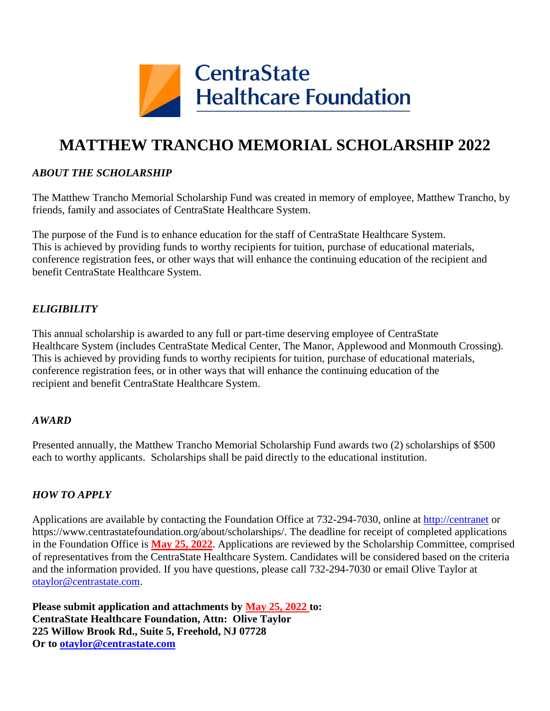

# **MATTHEW TRANCHO MEMORIAL SCHOLARSHIP 2022**

### *ABOUT THE SCHOLARSHIP*

The Matthew Trancho Memorial Scholarship Fund was created in memory of employee, Matthew Trancho, by friends, family and associates of CentraState Healthcare System.

The purpose of the Fund is to enhance education for the staff of CentraState Healthcare System. This is achieved by providing funds to worthy recipients for tuition, purchase of educational materials, conference registration fees, or other ways that will enhance the continuing education of the recipient and benefit CentraState Healthcare System.

## *ELIGIBILITY*

This annual scholarship is awarded to any full or part-time deserving employee of CentraState Healthcare System (includes CentraState Medical Center, The Manor, Applewood and Monmouth Crossing). This is achieved by providing funds to worthy recipients for tuition, purchase of educational materials, conference registration fees, or in other ways that will enhance the continuing education of the recipient and benefit CentraState Healthcare System.

#### *AWARD*

Presented annually, the Matthew Trancho Memorial Scholarship Fund awards two (2) scholarships of \$500 each to worthy applicants. Scholarships shall be paid directly to the educational institution.

#### *HOW TO APPLY*

Applications are available by contacting the Foundation Office at 732-294-7030, online at [http://centranet](http://centranet/) or https://www.centrastatefoundation.org/about/scholarships/. The deadline for receipt of completed applications in the Foundation Office is **May 25, 2022**. Applications are reviewed by the Scholarship Committee, comprised of representatives from the CentraState Healthcare System. Candidates will be considered based on the criteria and the information provided. If you have questions, please call 732-294-7030 or email Olive Taylor at [otaylor@centrastate.com.](mailto:otaylor@centrastate.com)

**Please submit application and attachments by May 25, 2022 to: CentraState Healthcare Foundation, Attn: Olive Taylor 225 Willow Brook Rd., Suite 5, Freehold, NJ 07728 Or to [otaylor@centrastate.com](mailto:otaylor@centrastate.com)**